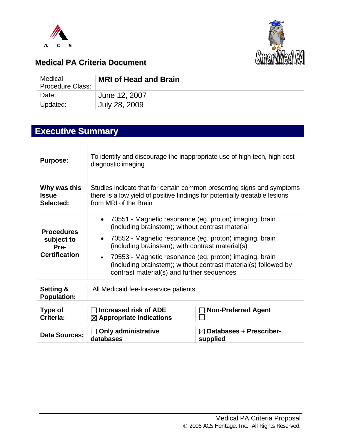



### **Medical PA Criteria Document**

| Medical<br><b>Procedure Class:</b> | <b>MRI of Head and Brain</b> |
|------------------------------------|------------------------------|
| Date:                              | June 12, 2007                |
| Updated:                           | July 28, 2009                |

# **Executive Summary**

| <b>Purpose:</b>                                                 | To identify and discourage the inappropriate use of high tech, high cost<br>diagnostic imaging                                                                                                                                                                                                                                                                                               |                                                 |  |
|-----------------------------------------------------------------|----------------------------------------------------------------------------------------------------------------------------------------------------------------------------------------------------------------------------------------------------------------------------------------------------------------------------------------------------------------------------------------------|-------------------------------------------------|--|
| Why was this<br><b>Issue</b><br>Selected:                       | Studies indicate that for certain common presenting signs and symptoms<br>there is a low yield of positive findings for potentially treatable lesions<br>from MRI of the Brain                                                                                                                                                                                                               |                                                 |  |
| <b>Procedures</b><br>subject to<br>Pre-<br><b>Certification</b> | 70551 - Magnetic resonance (eg, proton) imaging, brain<br>$\bullet$<br>(including brainstem); without contrast material<br>70552 - Magnetic resonance (eg, proton) imaging, brain<br>$\bullet$<br>(including brainstem); with contrast material(s)<br>70553 - Magnetic resonance (eg, proton) imaging, brain<br>$\bullet$<br>(including brainstem); without contrast material(s) followed by |                                                 |  |
|                                                                 | contrast material(s) and further sequences                                                                                                                                                                                                                                                                                                                                                   |                                                 |  |
| Setting &<br><b>Population:</b>                                 | All Medicaid fee-for-service patients                                                                                                                                                                                                                                                                                                                                                        |                                                 |  |
| Type of<br>Criteria:                                            | <b>Increased risk of ADE</b><br>$\boxtimes$ Appropriate Indications                                                                                                                                                                                                                                                                                                                          | <b>Non-Preferred Agent</b>                      |  |
| <b>Data Sources:</b>                                            | <b>Only administrative</b><br>databases                                                                                                                                                                                                                                                                                                                                                      | $\boxtimes$ Databases + Prescriber-<br>supplied |  |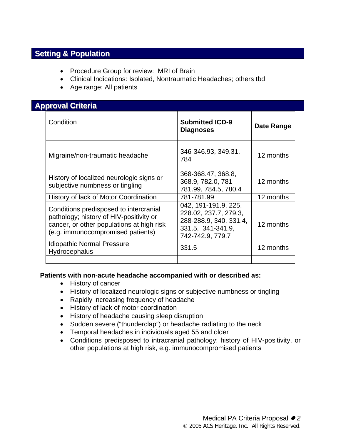### **Setting & Population**

- Procedure Group for review: MRI of Brain
- Clinical Indications: Isolated, Nontraumatic Headaches; others tbd
- Age range: All patients

### **Approval Criteria**

| Condition                                                                                                                                                           | <b>Submitted ICD-9</b><br><b>Diagnoses</b>                                                                       | Date Range |
|---------------------------------------------------------------------------------------------------------------------------------------------------------------------|------------------------------------------------------------------------------------------------------------------|------------|
| Migraine/non-traumatic headache                                                                                                                                     | 346-346.93, 349.31,<br>784                                                                                       | 12 months  |
| History of localized neurologic signs or<br>subjective numbness or tingling                                                                                         | 368-368.47, 368.8,<br>368.9, 782.0, 781-<br>781.99, 784.5, 780.4                                                 | 12 months  |
| History of lack of Motor Coordination                                                                                                                               | 781-781.99                                                                                                       | 12 months  |
| Conditions predisposed to intercranial<br>pathology; history of HIV-positivity or<br>cancer, or other populations at high risk<br>(e.g. immunocompromised patients) | 042, 191-191.9, 225,<br>228.02, 237.7, 279.3,<br>288-288.9, 340, 331.4,<br>331.5, 341-341.9,<br>742-742.9, 779.7 | 12 months  |
| <b>Idiopathic Normal Pressure</b><br>Hydrocephalus                                                                                                                  | 331.5                                                                                                            | 12 months  |
|                                                                                                                                                                     |                                                                                                                  |            |

#### **Patients with non-acute headache accompanied with or described as:**

- History of cancer
- History of localized neurologic signs or subjective numbness or tingling
- Rapidly increasing frequency of headache
- History of lack of motor coordination
- History of headache causing sleep disruption
- Sudden severe ("thunderclap") or headache radiating to the neck
- Temporal headaches in individuals aged 55 and older
- Conditions predisposed to intracranial pathology: history of HIV-positivity, or other populations at high risk, e.g. immunocompromised patients